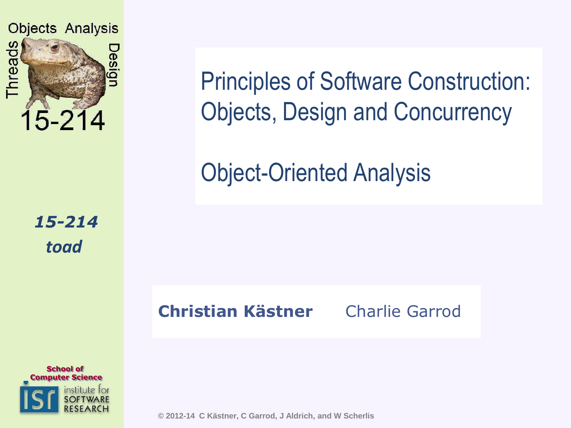

*toad 15-214* Principles of Software Construction: Objects, Design and Concurrency

Object-Oriented Analysis

#### **Christian Kästner** Charlie Garrod



**© 2012-14 C Kästner, C Garrod, J Aldrich, and W Scherlis**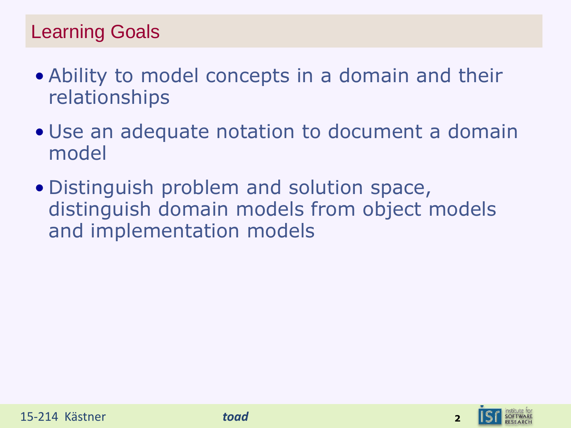#### Learning Goals

- Ability to model concepts in a domain and their relationships
- Use an adequate notation to document a domain model
- Distinguish problem and solution space, distinguish domain models from object models and implementation models



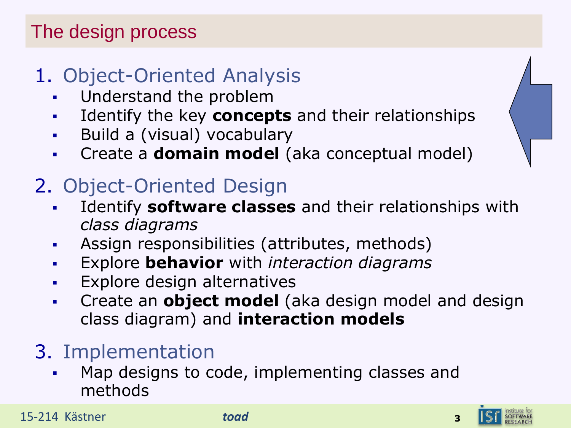### The design process

# 1. Object-Oriented Analysis

- **Understand the problem**
- Identify the key **concepts** and their relationships
- Build a (visual) vocabulary
- Create a **domain model** (aka conceptual model)

# 2. Object-Oriented Design

- Identify **software classes** and their relationships with *class diagrams*
- Assign responsibilities (attributes, methods)
- Explore **behavior** with *interaction diagrams*
- Explore design alternatives
- Create an **object model** (aka design model and design class diagram) and **interaction models**

# 3. Implementation

 Map designs to code, implementing classes and methods

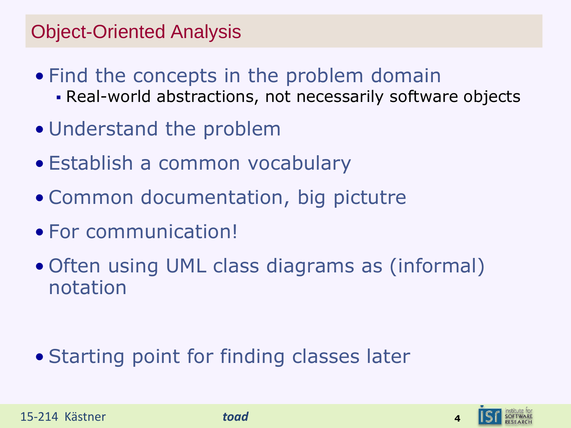## Object-Oriented Analysis

- Find the concepts in the problem domain
	- Real-world abstractions, not necessarily software objects
- Understand the problem
- Establish a common vocabulary
- Common documentation, big pictutre
- For communication!
- Often using UML class diagrams as (informal) notation

# • Starting point for finding classes later



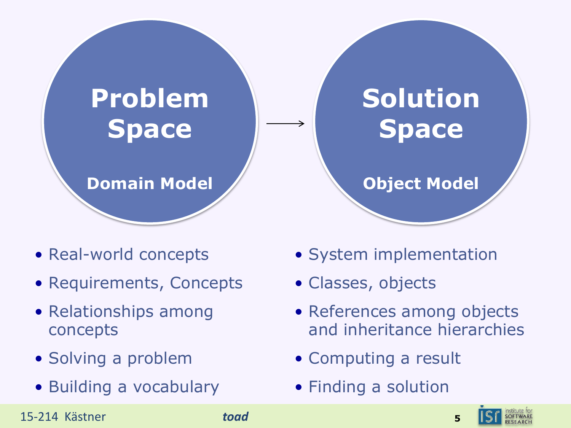

- Real-world concepts
- Requirements, Concepts
- Relationships among concepts
- Solving a problem
- Building a vocabulary
- System implementation
- Classes, objects
- References among objects and inheritance hierarchies
- Computing a result
- Finding a solution

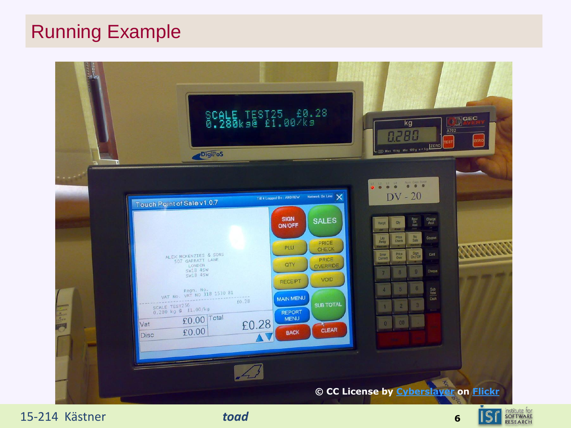#### Running Example



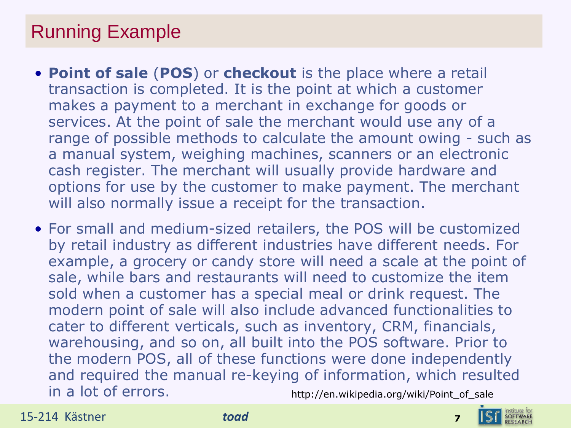### Running Example

- **Point of sale** (**POS**) or **checkout** is the place where a retail transaction is completed. It is the point at which a customer makes a payment to a merchant in exchange for goods or services. At the point of sale the merchant would use any of a range of possible methods to calculate the amount owing - such as a manual system, weighing machines, scanners or an electronic cash register. The merchant will usually provide hardware and options for use by the customer to make payment. The merchant will also normally issue a receipt for the transaction.
- For small and medium-sized retailers, the POS will be customized by retail industry as different industries have different needs. For example, a grocery or candy store will need a scale at the point of sale, while bars and restaurants will need to customize the item sold when a customer has a special meal or drink request. The modern point of sale will also include advanced functionalities to cater to different verticals, such as inventory, CRM, financials, warehousing, and so on, all built into the POS software. Prior to the modern POS, all of these functions were done independently and required the manual re-keying of information, which resulted in a lot of errors. http://en.wikipedia.org/wiki/Point of sale

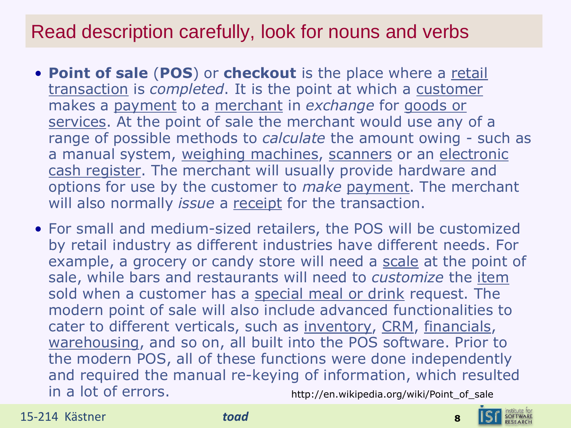#### Read description carefully, look for nouns and verbs

- **Point of sale** (**POS**) or **checkout** is the place where a retail transaction is *completed*. It is the point at which a customer makes a payment to a merchant in *exchange* for goods or services. At the point of sale the merchant would use any of a range of possible methods to *calculate* the amount owing - such as a manual system, weighing machines, scanners or an electronic cash register. The merchant will usually provide hardware and options for use by the customer to *make* payment. The merchant will also normally *issue* a receipt for the transaction.
- For small and medium-sized retailers, the POS will be customized by retail industry as different industries have different needs. For example, a grocery or candy store will need a scale at the point of sale, while bars and restaurants will need to *customize* the item sold when a customer has a special meal or drink request. The modern point of sale will also include advanced functionalities to cater to different verticals, such as inventory, CRM, financials, warehousing, and so on, all built into the POS software. Prior to the modern POS, all of these functions were done independently and required the manual re-keying of information, which resulted in a lot of errors. http://en.wikipedia.org/wiki/Point of sale



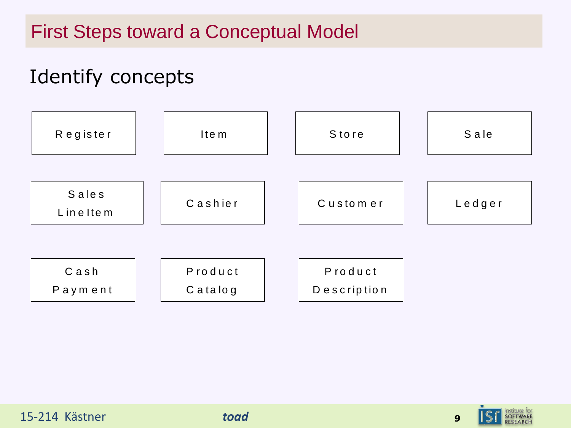# Identify concepts



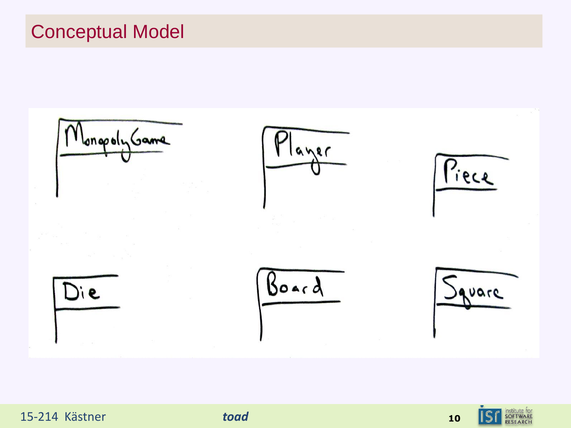#### Conceptual Model



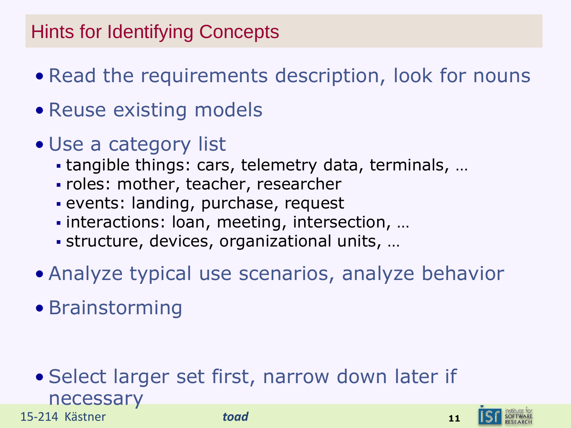## Hints for Identifying Concepts

- Read the requirements description, look for nouns
- Reuse existing models
- Use a category list
	- tangible things: cars, telemetry data, terminals, …
	- roles: mother, teacher, researcher
	- events: landing, purchase, request
	- interactions: loan, meeting, intersection, …
	- structure, devices, organizational units, …
- Analyze typical use scenarios, analyze behavior
- Brainstorming

#### 15-214 Kästner *toad* **<sup>11</sup>** • Select larger set first, narrow down later if necessary

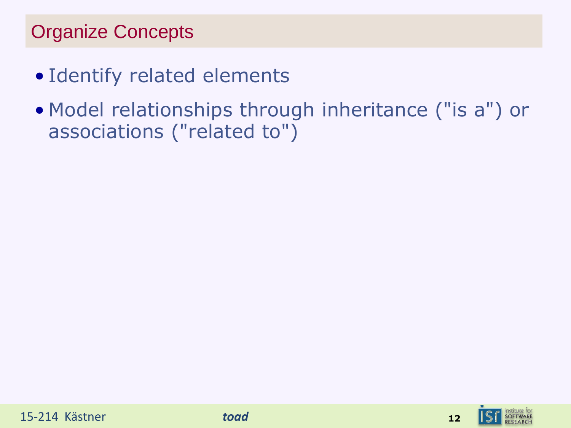## Organize Concepts

- Identify related elements
- Model relationships through inheritance ("is a") or associations ("related to")



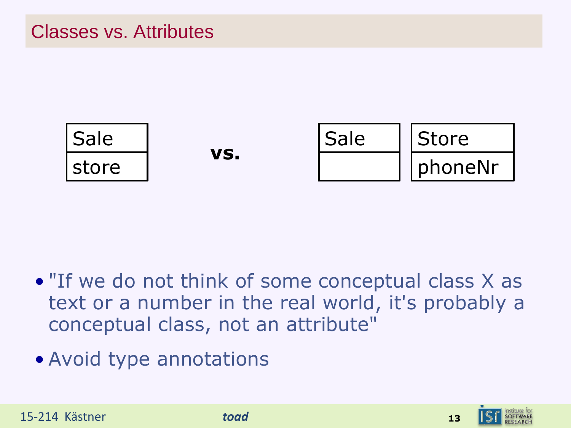

- "If we do not think of some conceptual class X as text or a number in the real world, it's probably a conceptual class, not an attribute"
- Avoid type annotations



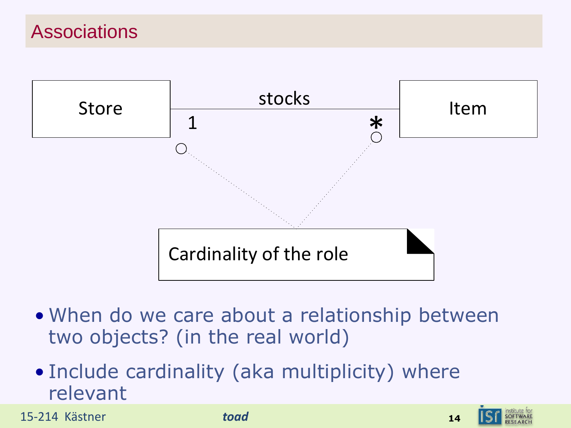#### **Associations**



- When do we care about a relationship between two objects? (in the real world)
- Include cardinality (aka multiplicity) where relevant

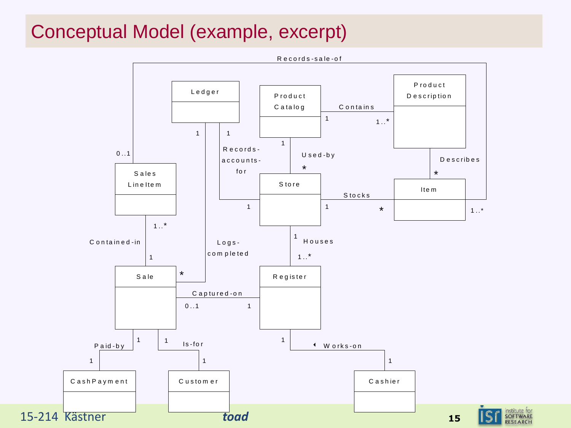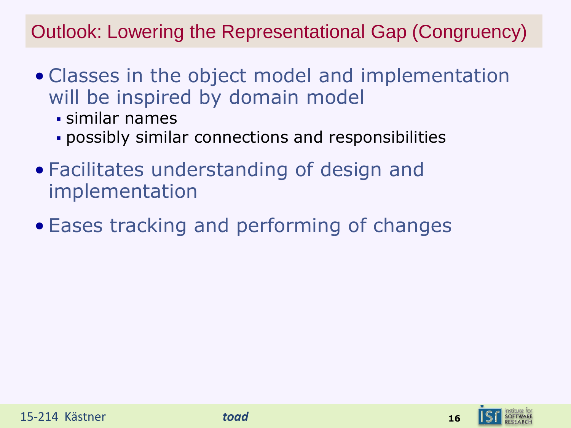## Outlook: Lowering the Representational Gap (Congruency)

- Classes in the object model and implementation will be inspired by domain model
	- similar names
	- possibly similar connections and responsibilities
- Facilitates understanding of design and implementation
- Eases tracking and performing of changes

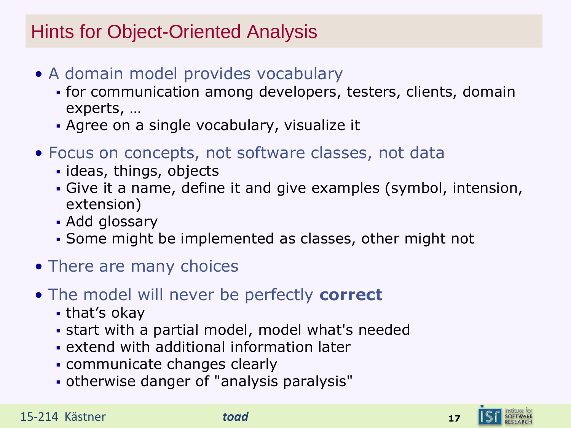#### Hints for Object-Oriented Analysis

- A domain model provides vocabulary
	- for communication among developers, testers, clients, domain experts, …
	- Agree on a single vocabulary, visualize it
- Focus on concepts, not software classes, not data
	- **· ideas, things, objects**
	- Give it a name, define it and give examples (symbol, intension, extension)
	- Add glossary
	- Some might be implemented as classes, other might not
- There are many choices
- The model will never be perfectly **correct**
	- that's okay
	- start with a partial model, model what's needed
	- extend with additional information later
	- communicate changes clearly
	- otherwise danger of "analysis paralysis"

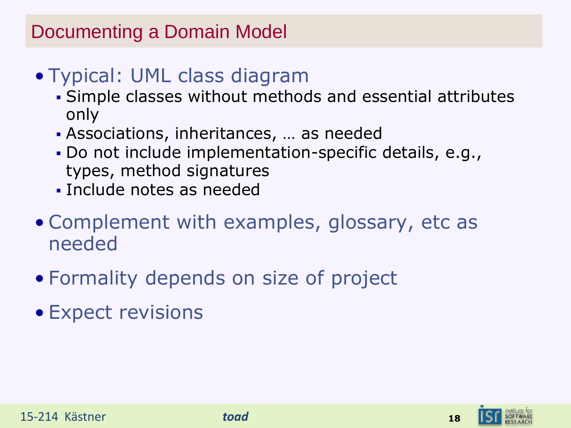## Documenting a Domain Model

- Typical: UML class diagram
	- Simple classes without methods and essential attributes only
	- Associations, inheritances, … as needed
	- Do not include implementation-specific details, e.g., types, method signatures
	- Include notes as needed
- Complement with examples, glossary, etc as needed
- Formality depends on size of project
- Expect revisions



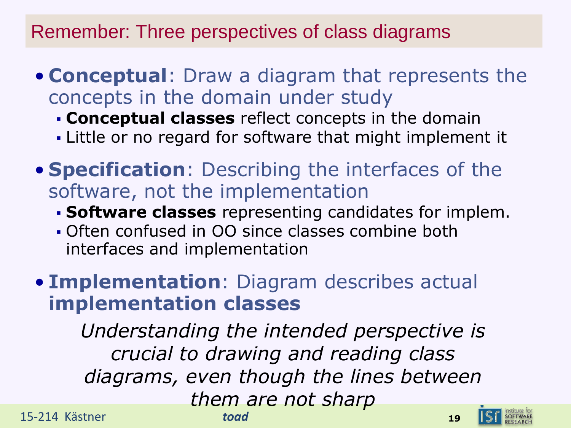### Remember: Three perspectives of class diagrams

- **Conceptual**: Draw a diagram that represents the concepts in the domain under study
	- **Conceptual classes** reflect concepts in the domain
	- Little or no regard for software that might implement it
- **Specification**: Describing the interfaces of the software, not the implementation
	- **Software classes** representing candidates for implem.
	- Often confused in OO since classes combine both interfaces and implementation
- **Implementation**: Diagram describes actual **implementation classes**

*Understanding the intended perspective is crucial to drawing and reading class diagrams, even though the lines between them are not sharp*